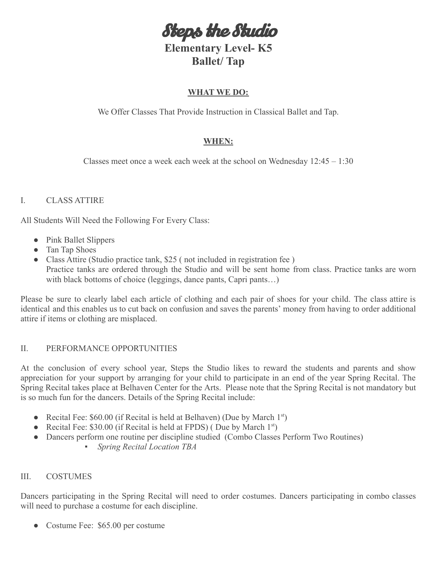Steps the Studio

# **Elementary Level- K5 Ballet/ Tap**

### **WHAT WE DO:**

We Offer Classes That Provide Instruction in Classical Ballet and Tap.

## **WHEN:**

Classes meet once a week each week at the school on Wednesday 12:45 – 1:30

## I. CLASS ATTIRE

All Students Will Need the Following For Every Class:

- Pink Ballet Slippers
- Tan Tap Shoes
- Class Attire (Studio practice tank, \$25 (not included in registration fee) Practice tanks are ordered through the Studio and will be sent home from class. Practice tanks are worn with black bottoms of choice (leggings, dance pants, Capri pants...)

Please be sure to clearly label each article of clothing and each pair of shoes for your child. The class attire is identical and this enables us to cut back on confusion and saves the parents' money from having to order additional attire if items or clothing are misplaced.

#### II. PERFORMANCE OPPORTUNITIES

At the conclusion of every school year, Steps the Studio likes to reward the students and parents and show appreciation for your support by arranging for your child to participate in an end of the year Spring Recital. The Spring Recital takes place at Belhaven Center for the Arts. Please note that the Spring Recital is not mandatory but is so much fun for the dancers. Details of the Spring Recital include:

- Recital Fee:  $$60.00$  (if Recital is held at Belhaven) (Due by March 1<sup>st</sup>)
- Recital Fee:  $$30.00$  (if Recital is held at FPDS) (Due by March 1<sup>st</sup>)
- *●* Dancers perform one routine per discipline studied (Combo Classes Perform Two Routines)
	- *Spring Recital Location TBA*

#### III. COSTUMES

Dancers participating in the Spring Recital will need to order costumes. Dancers participating in combo classes will need to purchase a costume for each discipline.

• Costume Fee: \$65.00 per costume